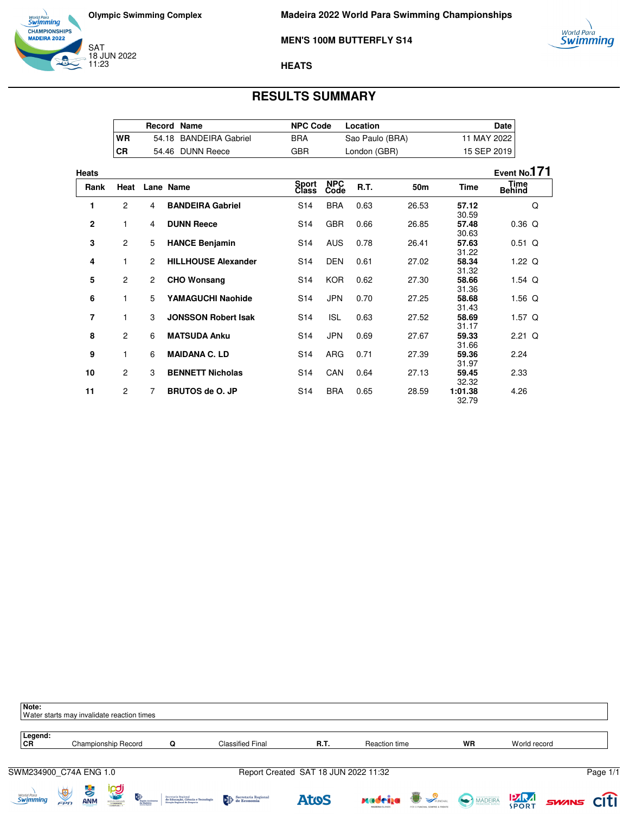



### **MEN'S 100M BUTTERFLY S14**

### **HEATS**

## **RESULTS SUMMARY**

|           | <b>Record Name</b> |                        | <b>NPC Code</b> | Location        | Date i      |
|-----------|--------------------|------------------------|-----------------|-----------------|-------------|
| <b>WR</b> |                    | 54.18 BANDEIRA Gabriel | BRA             | Sao Paulo (BRA) | 11 MAY 2022 |
| <b>CR</b> |                    | 54.46 DUNN Reece       | GBR             | London (GBR)    | 15 SEP 2019 |

| Heats          |                |                |                            |                 |                    |             |                 |                  | Event No.171                 |
|----------------|----------------|----------------|----------------------------|-----------------|--------------------|-------------|-----------------|------------------|------------------------------|
| Rank           | Heat           |                | Lane Name                  | Sport<br>Class  | <b>NPC</b><br>Code | <b>R.T.</b> | 50 <sub>m</sub> | <b>Time</b>      | <b>Time</b><br><b>Behind</b> |
| 1              | $\mathbf{2}$   | 4              | <b>BANDEIRA Gabriel</b>    | S <sub>14</sub> | <b>BRA</b>         | 0.63        | 26.53           | 57.12<br>30.59   | Q                            |
| $\mathbf{2}$   | 1              | 4              | <b>DUNN Reece</b>          | S <sub>14</sub> | <b>GBR</b>         | 0.66        | 26.85           | 57.48<br>30.63   | $0.36$ Q                     |
| 3              | $\overline{c}$ | 5              | <b>HANCE Benjamin</b>      | S <sub>14</sub> | <b>AUS</b>         | 0.78        | 26.41           | 57.63<br>31.22   | $0.51$ Q                     |
| 4              | 1              | $\overline{2}$ | <b>HILLHOUSE Alexander</b> | S <sub>14</sub> | <b>DEN</b>         | 0.61        | 27.02           | 58.34<br>31.32   | 1.22 $Q$                     |
| 5              | 2              | $\overline{2}$ | <b>CHO Wonsang</b>         | S <sub>14</sub> | <b>KOR</b>         | 0.62        | 27.30           | 58.66<br>31.36   | 1.54 $\alpha$                |
| 6              | 1              | 5              | YAMAGUCHI Naohide          | S <sub>14</sub> | <b>JPN</b>         | 0.70        | 27.25           | 58.68<br>31.43   | 1.56 $Q$                     |
| $\overline{7}$ | 1              | 3              | <b>JONSSON Robert Isak</b> | S <sub>14</sub> | <b>ISL</b>         | 0.63        | 27.52           | 58.69<br>31.17   | 1.57 $Q$                     |
| 8              | $\mathbf{2}$   | 6              | <b>MATSUDA Anku</b>        | S <sub>14</sub> | <b>JPN</b>         | 0.69        | 27.67           | 59.33<br>31.66   | $2.21$ Q                     |
| 9              | 1              | 6              | <b>MAIDANA C. LD</b>       | S <sub>14</sub> | <b>ARG</b>         | 0.71        | 27.39           | 59.36<br>31.97   | 2.24                         |
| 10             | 2              | 3              | <b>BENNETT Nicholas</b>    | S <sub>14</sub> | CAN                | 0.64        | 27.13           | 59.45<br>32.32   | 2.33                         |
| 11             | $\overline{c}$ | $\overline{7}$ | <b>BRUTOS de O. JP</b>     | S <sub>14</sub> | <b>BRA</b>         | 0.65        | 28.59           | 1:01.38<br>32.79 | 4.26                         |

| Note:<br>Water starts may invalidate reaction times |                      |                                    |                     |                                |                                                                                          |                         |                                      |               |                                                    |              |              |                   |          |
|-----------------------------------------------------|----------------------|------------------------------------|---------------------|--------------------------------|------------------------------------------------------------------------------------------|-------------------------|--------------------------------------|---------------|----------------------------------------------------|--------------|--------------|-------------------|----------|
| Legend:<br>CR                                       |                      |                                    | Championship Record |                                | Q                                                                                        | <b>Classified Final</b> | R.T.                                 | Reaction time |                                                    | <b>WR</b>    | World record |                   |          |
| SWM234900 C74A ENG 1.0                              |                      |                                    |                     |                                |                                                                                          |                         | Report Created SAT 18 JUN 2022 11:32 |               |                                                    |              |              |                   | Page 1/1 |
| <i>World Para</i><br>Swimming                       | $\frac{1}{\sqrt{2}}$ | $\frac{1}{\sqrt{2}}$<br><b>ANM</b> | ipgi<br>Ling        | Progião Autónom.<br>da Madeira | Secretaria Regional<br>de Educação, Ciência e Tecnologia<br>Direção Regional de Desporto | Secretaria Regional     | <b>AtoS</b>                          | xadrija       | <b>B</b> SPUNCHAL<br>POR O FUNCHAL SEMPRE A FRENTE | MADEIRA PARA |              | <b>SWINS CITI</b> |          |